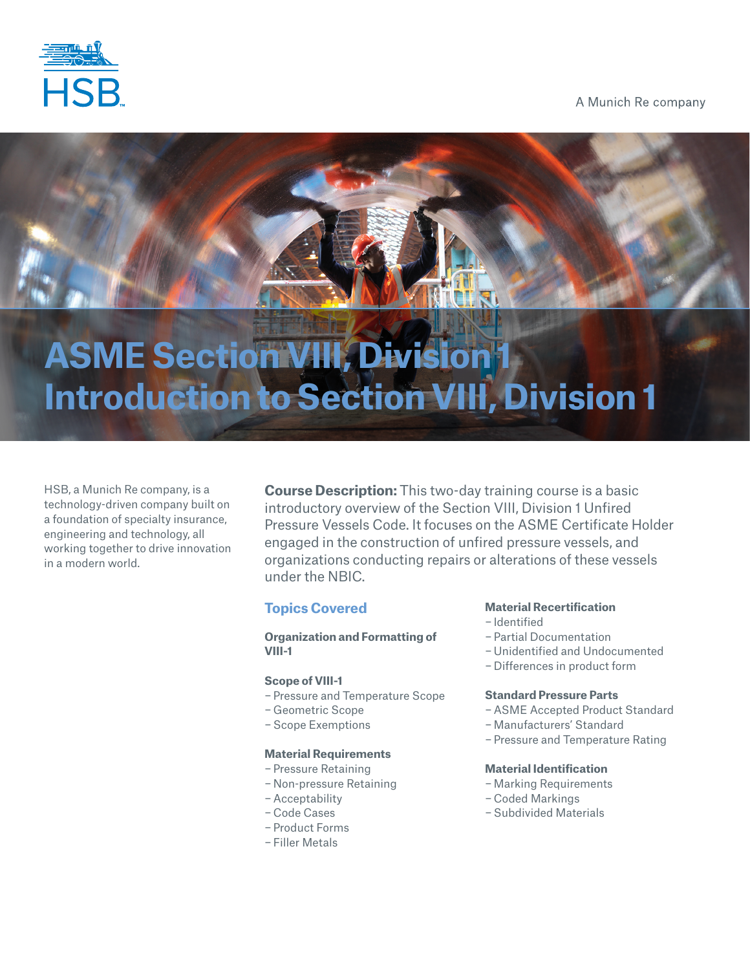

A Munich Re company

# **ASME Section VIII, Division 1 Introduction to Section VIII, Division 1**

HSB, a Munich Re company, is a technology-driven company built on a foundation of specialty insurance, engineering and technology, all working together to drive innovation in a modern world.

**Course Description:** This two-day training course is a basic introductory overview of the Section VIII, Division 1 Unfired Pressure Vessels Code. It focuses on the ASME Certificate Holder engaged in the construction of unfired pressure vessels, and organizations conducting repairs or alterations of these vessels under the NBIC.

#### **Topics Covered**

#### **Organization and Formatting of VIII-1**

#### **Scope of VIII-1**

- − Pressure and Temperature Scope
- − Geometric Scope
- − Scope Exemptions

#### **Material Requirements**

- − Pressure Retaining
- − Non-pressure Retaining
- − Acceptability
- − Code Cases
- − Product Forms
- − Filler Metals

#### **Material Recertification**

- − Identified
- − Partial Documentation
- − Unidentified and Undocumented
- − Differences in product form

#### **Standard Pressure Parts**

- − ASME Accepted Product Standard
- − Manufacturers' Standard
- − Pressure and Temperature Rating

#### **Material Identification**

- − Marking Requirements
- − Coded Markings
- − Subdivided Materials